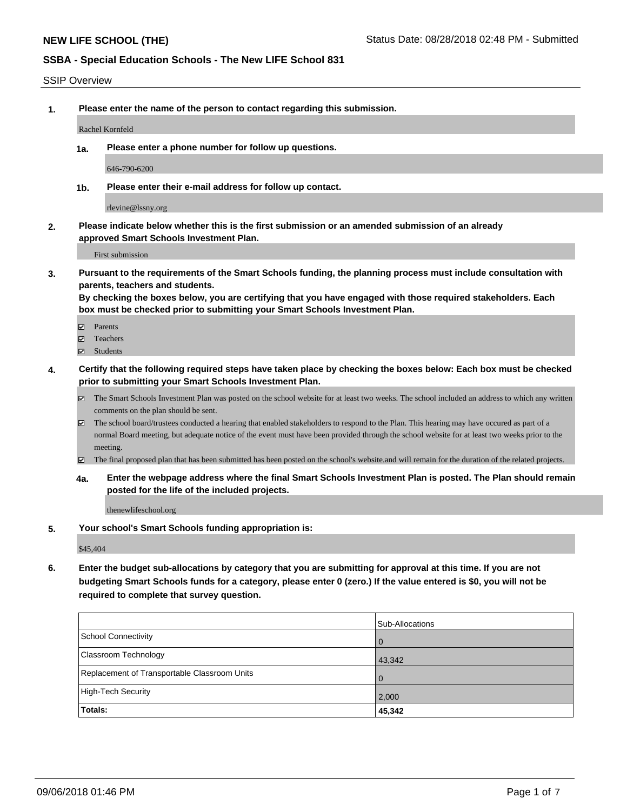#### SSIP Overview

**1. Please enter the name of the person to contact regarding this submission.**

Rachel Kornfeld

**1a. Please enter a phone number for follow up questions.**

646-790-6200

**1b. Please enter their e-mail address for follow up contact.**

rlevine@lssny.org

**2. Please indicate below whether this is the first submission or an amended submission of an already approved Smart Schools Investment Plan.**

First submission

**3. Pursuant to the requirements of the Smart Schools funding, the planning process must include consultation with parents, teachers and students.**

**By checking the boxes below, you are certifying that you have engaged with those required stakeholders. Each box must be checked prior to submitting your Smart Schools Investment Plan.**

- Parents
- Teachers
- Students
- **4. Certify that the following required steps have taken place by checking the boxes below: Each box must be checked prior to submitting your Smart Schools Investment Plan.**
	- The Smart Schools Investment Plan was posted on the school website for at least two weeks. The school included an address to which any written comments on the plan should be sent.
	- The school board/trustees conducted a hearing that enabled stakeholders to respond to the Plan. This hearing may have occured as part of a normal Board meeting, but adequate notice of the event must have been provided through the school website for at least two weeks prior to the meeting.
	- The final proposed plan that has been submitted has been posted on the school's website.and will remain for the duration of the related projects.
	- **4a. Enter the webpage address where the final Smart Schools Investment Plan is posted. The Plan should remain posted for the life of the included projects.**

thenewlifeschool.org

**5. Your school's Smart Schools funding appropriation is:**

\$45,404

**6. Enter the budget sub-allocations by category that you are submitting for approval at this time. If you are not budgeting Smart Schools funds for a category, please enter 0 (zero.) If the value entered is \$0, you will not be required to complete that survey question.**

|                                              | Sub-Allocations |
|----------------------------------------------|-----------------|
| School Connectivity                          | <b>O</b>        |
| Classroom Technology                         | 43,342          |
| Replacement of Transportable Classroom Units | $\overline{0}$  |
| High-Tech Security                           | 2,000           |
| Totals:                                      | 45,342          |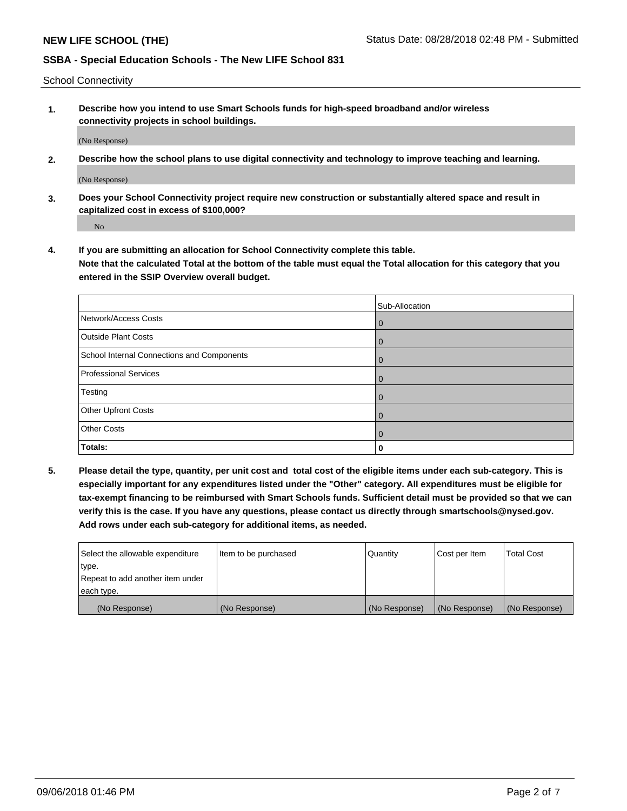School Connectivity

**1. Describe how you intend to use Smart Schools funds for high-speed broadband and/or wireless connectivity projects in school buildings.**

(No Response)

**2. Describe how the school plans to use digital connectivity and technology to improve teaching and learning.**

(No Response)

**3. Does your School Connectivity project require new construction or substantially altered space and result in capitalized cost in excess of \$100,000?**

No

**4. If you are submitting an allocation for School Connectivity complete this table. Note that the calculated Total at the bottom of the table must equal the Total allocation for this category that you entered in the SSIP Overview overall budget.** 

|                                            | Sub-Allocation |
|--------------------------------------------|----------------|
| Network/Access Costs                       | $\overline{0}$ |
| <b>Outside Plant Costs</b>                 | $\overline{0}$ |
| School Internal Connections and Components | $\mathbf 0$    |
| <b>Professional Services</b>               | $\Omega$       |
| Testing                                    | 0              |
| Other Upfront Costs                        | $\Omega$       |
| <b>Other Costs</b>                         | $\Omega$       |
| Totals:                                    | 0              |

**5. Please detail the type, quantity, per unit cost and total cost of the eligible items under each sub-category. This is especially important for any expenditures listed under the "Other" category. All expenditures must be eligible for tax-exempt financing to be reimbursed with Smart Schools funds. Sufficient detail must be provided so that we can verify this is the case. If you have any questions, please contact us directly through smartschools@nysed.gov. Add rows under each sub-category for additional items, as needed.**

| each type.<br>(No Response)      | (No Response)          | (No Response) | (No Response) | (No Response)     |
|----------------------------------|------------------------|---------------|---------------|-------------------|
|                                  |                        |               |               |                   |
| Repeat to add another item under |                        |               |               |                   |
| ∣type.                           |                        |               |               |                   |
| Select the allowable expenditure | I Item to be purchased | Quantity      | Cost per Item | <b>Total Cost</b> |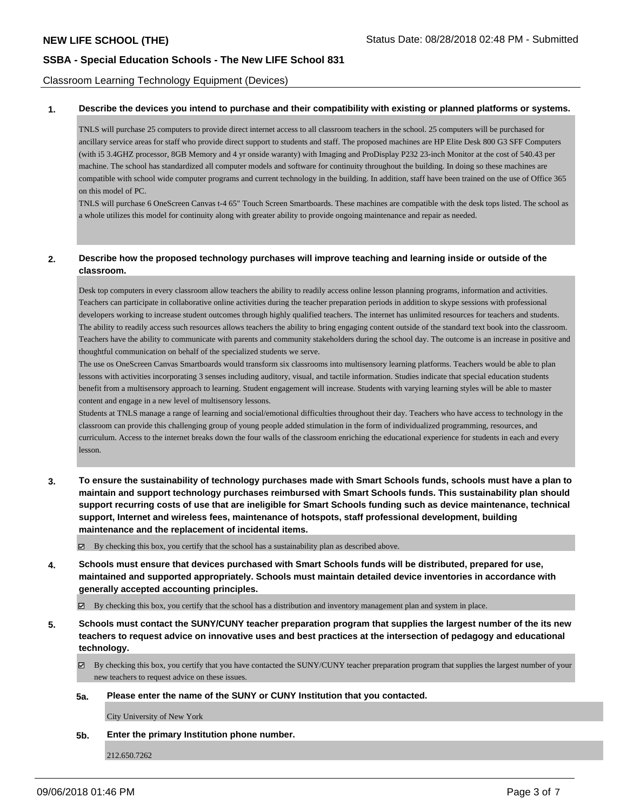Classroom Learning Technology Equipment (Devices)

#### **1. Describe the devices you intend to purchase and their compatibility with existing or planned platforms or systems.**

TNLS will purchase 25 computers to provide direct internet access to all classroom teachers in the school. 25 computers will be purchased for ancillary service areas for staff who provide direct support to students and staff. The proposed machines are HP Elite Desk 800 G3 SFF Computers (with i5 3.4GHZ processor, 8GB Memory and 4 yr onside waranty) with Imaging and ProDisplay P232 23-inch Monitor at the cost of 540.43 per machine. The school has standardized all computer models and software for continuity throughout the building. In doing so these machines are compatible with school wide computer programs and current technology in the building. In addition, staff have been trained on the use of Office 365 on this model of PC.

TNLS will purchase 6 OneScreen Canvas t-4 65" Touch Screen Smartboards. These machines are compatible with the desk tops listed. The school as a whole utilizes this model for continuity along with greater ability to provide ongoing maintenance and repair as needed.

### **2. Describe how the proposed technology purchases will improve teaching and learning inside or outside of the classroom.**

Desk top computers in every classroom allow teachers the ability to readily access online lesson planning programs, information and activities. Teachers can participate in collaborative online activities during the teacher preparation periods in addition to skype sessions with professional developers working to increase student outcomes through highly qualified teachers. The internet has unlimited resources for teachers and students. The ability to readily access such resources allows teachers the ability to bring engaging content outside of the standard text book into the classroom. Teachers have the ability to communicate with parents and community stakeholders during the school day. The outcome is an increase in positive and thoughtful communication on behalf of the specialized students we serve.

The use os OneScreen Canvas Smartboards would transform six classrooms into multisensory learning platforms. Teachers would be able to plan lessons with activities incorporating 3 senses including auditory, visual, and tactile information. Studies indicate that special education students benefit from a multisensory approach to learning. Student engagement will increase. Students with varying learning styles will be able to master content and engage in a new level of multisensory lessons.

Students at TNLS manage a range of learning and social/emotional difficulties throughout their day. Teachers who have access to technology in the classroom can provide this challenging group of young people added stimulation in the form of individualized programming, resources, and curriculum. Access to the internet breaks down the four walls of the classroom enriching the educational experience for students in each and every lesson.

**3. To ensure the sustainability of technology purchases made with Smart Schools funds, schools must have a plan to maintain and support technology purchases reimbursed with Smart Schools funds. This sustainability plan should support recurring costs of use that are ineligible for Smart Schools funding such as device maintenance, technical support, Internet and wireless fees, maintenance of hotspots, staff professional development, building maintenance and the replacement of incidental items.**

By checking this box, you certify that the school has a sustainability plan as described above.

**4. Schools must ensure that devices purchased with Smart Schools funds will be distributed, prepared for use, maintained and supported appropriately. Schools must maintain detailed device inventories in accordance with generally accepted accounting principles.**

 $\boxtimes$  By checking this box, you certify that the school has a distribution and inventory management plan and system in place.

**5. Schools must contact the SUNY/CUNY teacher preparation program that supplies the largest number of the its new teachers to request advice on innovative uses and best practices at the intersection of pedagogy and educational technology.**

By checking this box, you certify that you have contacted the SUNY/CUNY teacher preparation program that supplies the largest number of your new teachers to request advice on these issues.

**5a. Please enter the name of the SUNY or CUNY Institution that you contacted.**

City University of New York

**5b. Enter the primary Institution phone number.**

212.650.7262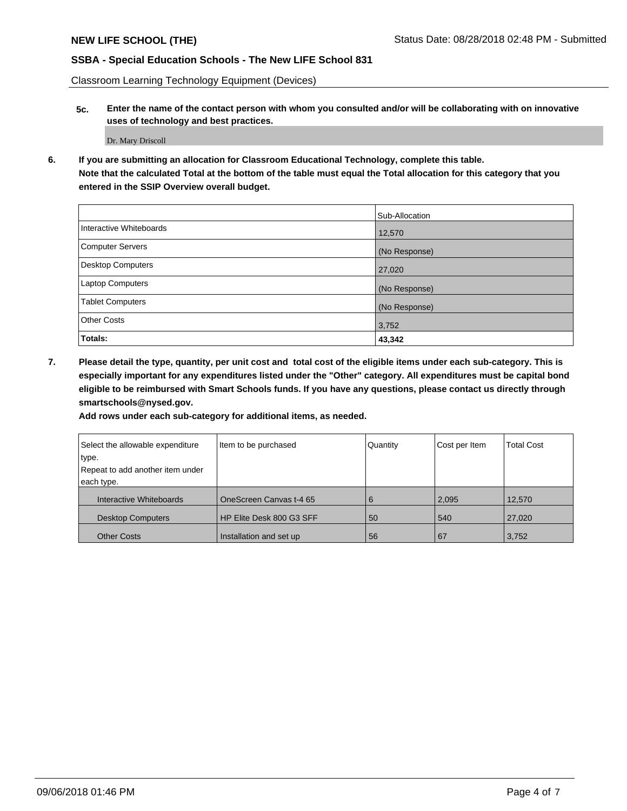Classroom Learning Technology Equipment (Devices)

**5c. Enter the name of the contact person with whom you consulted and/or will be collaborating with on innovative uses of technology and best practices.**

Dr. Mary Driscoll

**6. If you are submitting an allocation for Classroom Educational Technology, complete this table. Note that the calculated Total at the bottom of the table must equal the Total allocation for this category that you entered in the SSIP Overview overall budget.**

|                          | Sub-Allocation |
|--------------------------|----------------|
| Interactive Whiteboards  | 12,570         |
| Computer Servers         | (No Response)  |
| <b>Desktop Computers</b> | 27,020         |
| Laptop Computers         | (No Response)  |
| <b>Tablet Computers</b>  | (No Response)  |
| <b>Other Costs</b>       | 3,752          |
| Totals:                  | 43,342         |

**7. Please detail the type, quantity, per unit cost and total cost of the eligible items under each sub-category. This is especially important for any expenditures listed under the "Other" category. All expenditures must be capital bond eligible to be reimbursed with Smart Schools funds. If you have any questions, please contact us directly through smartschools@nysed.gov.**

**Add rows under each sub-category for additional items, as needed.**

| Select the allowable expenditure | Item to be purchased     | Quantity | Cost per Item | <b>Total Cost</b> |
|----------------------------------|--------------------------|----------|---------------|-------------------|
| type.                            |                          |          |               |                   |
| Repeat to add another item under |                          |          |               |                   |
| each type.                       |                          |          |               |                   |
| Interactive Whiteboards          | OneScreen Canvas t-4 65  | 6        | 2,095         | 12,570            |
| <b>Desktop Computers</b>         | HP Elite Desk 800 G3 SFF | 50       | 540           | 27,020            |
| <b>Other Costs</b>               | Installation and set up  | 56       | 67            | 3,752             |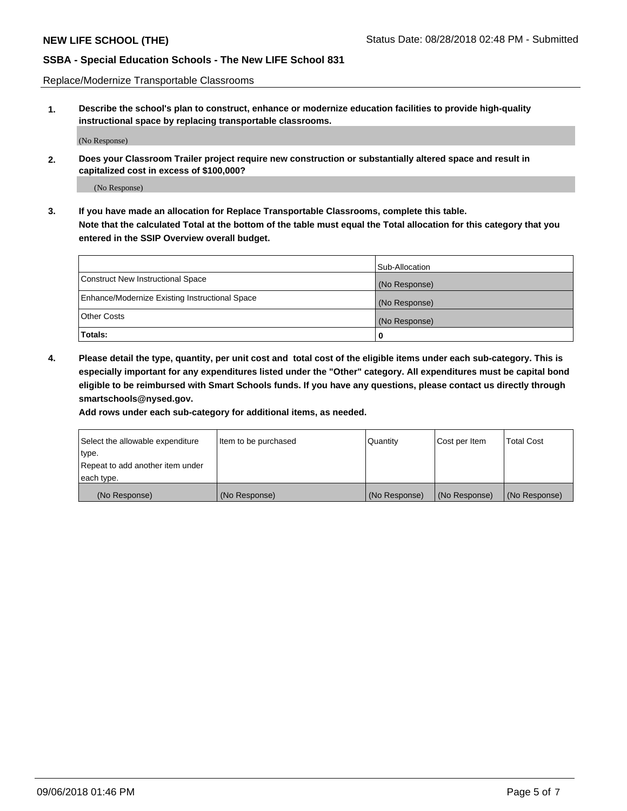Replace/Modernize Transportable Classrooms

**1. Describe the school's plan to construct, enhance or modernize education facilities to provide high-quality instructional space by replacing transportable classrooms.**

(No Response)

**2. Does your Classroom Trailer project require new construction or substantially altered space and result in capitalized cost in excess of \$100,000?**

(No Response)

**3. If you have made an allocation for Replace Transportable Classrooms, complete this table. Note that the calculated Total at the bottom of the table must equal the Total allocation for this category that you entered in the SSIP Overview overall budget.**

|                                                | Sub-Allocation |
|------------------------------------------------|----------------|
| Construct New Instructional Space              | (No Response)  |
| Enhance/Modernize Existing Instructional Space | (No Response)  |
| Other Costs                                    | (No Response)  |
| Totals:                                        | 0              |

**4. Please detail the type, quantity, per unit cost and total cost of the eligible items under each sub-category. This is especially important for any expenditures listed under the "Other" category. All expenditures must be capital bond eligible to be reimbursed with Smart Schools funds. If you have any questions, please contact us directly through smartschools@nysed.gov.**

**Add rows under each sub-category for additional items, as needed.**

| Select the allowable expenditure | Item to be purchased | Quantity      | Cost per Item | <b>Total Cost</b> |
|----------------------------------|----------------------|---------------|---------------|-------------------|
| 'type.                           |                      |               |               |                   |
| Repeat to add another item under |                      |               |               |                   |
| each type.                       |                      |               |               |                   |
| (No Response)                    | (No Response)        | (No Response) | (No Response) | (No Response)     |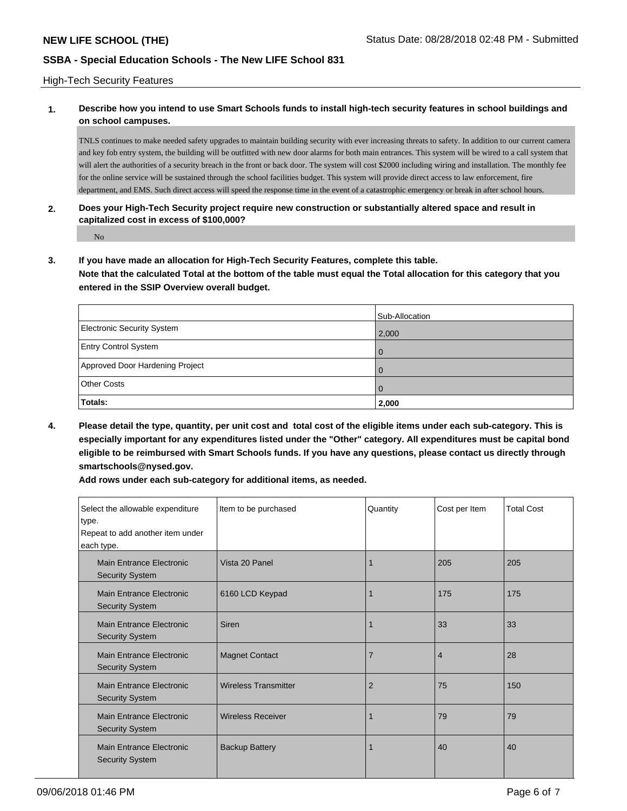#### High-Tech Security Features

### **1. Describe how you intend to use Smart Schools funds to install high-tech security features in school buildings and on school campuses.**

TNLS continues to make needed safety upgrades to maintain building security with ever increasing threats to safety. In addition to our current camera and key fob entry system, the building will be outfitted with new door alarms for both main entrances. This system will be wired to a call system that will alert the authorities of a security breach in the front or back door. The system will cost \$2000 including wiring and installation. The monthly fee for the online service will be sustained through the school facilities budget. This system will provide direct access to law enforcement, fire department, and EMS. Such direct access will speed the response time in the event of a catastrophic emergency or break in after school hours.

#### **2. Does your High-Tech Security project require new construction or substantially altered space and result in capitalized cost in excess of \$100,000?**

No

**3. If you have made an allocation for High-Tech Security Features, complete this table.**

**Note that the calculated Total at the bottom of the table must equal the Total allocation for this category that you entered in the SSIP Overview overall budget.**

|                                   | Sub-Allocation |
|-----------------------------------|----------------|
| <b>Electronic Security System</b> | 2,000          |
| <b>Entry Control System</b>       |                |
| Approved Door Hardening Project   |                |
| <b>Other Costs</b>                |                |
| Totals:                           | 2,000          |

**4. Please detail the type, quantity, per unit cost and total cost of the eligible items under each sub-category. This is especially important for any expenditures listed under the "Other" category. All expenditures must be capital bond eligible to be reimbursed with Smart Schools funds. If you have any questions, please contact us directly through smartschools@nysed.gov.**

**Add rows under each sub-category for additional items, as needed.**

| Select the allowable expenditure<br>type.<br>Repeat to add another item under<br>each type. | Item to be purchased        | Quantity       | Cost per Item  | <b>Total Cost</b> |
|---------------------------------------------------------------------------------------------|-----------------------------|----------------|----------------|-------------------|
| Main Entrance Electronic<br><b>Security System</b>                                          | Vista 20 Panel              |                | 205            | 205               |
| Main Entrance Electronic<br><b>Security System</b>                                          | 6160 LCD Keypad             |                | 175            | 175               |
| Main Entrance Electronic<br><b>Security System</b>                                          | Siren                       |                | 33             | 33                |
| Main Entrance Electronic<br><b>Security System</b>                                          | <b>Magnet Contact</b>       | 7              | $\overline{4}$ | 28                |
| Main Entrance Electronic<br><b>Security System</b>                                          | <b>Wireless Transmitter</b> | $\overline{2}$ | 75             | 150               |
| Main Entrance Electronic<br><b>Security System</b>                                          | <b>Wireless Receiver</b>    |                | 79             | 79                |
| Main Entrance Electronic<br><b>Security System</b>                                          | <b>Backup Battery</b>       |                | 40             | 40                |